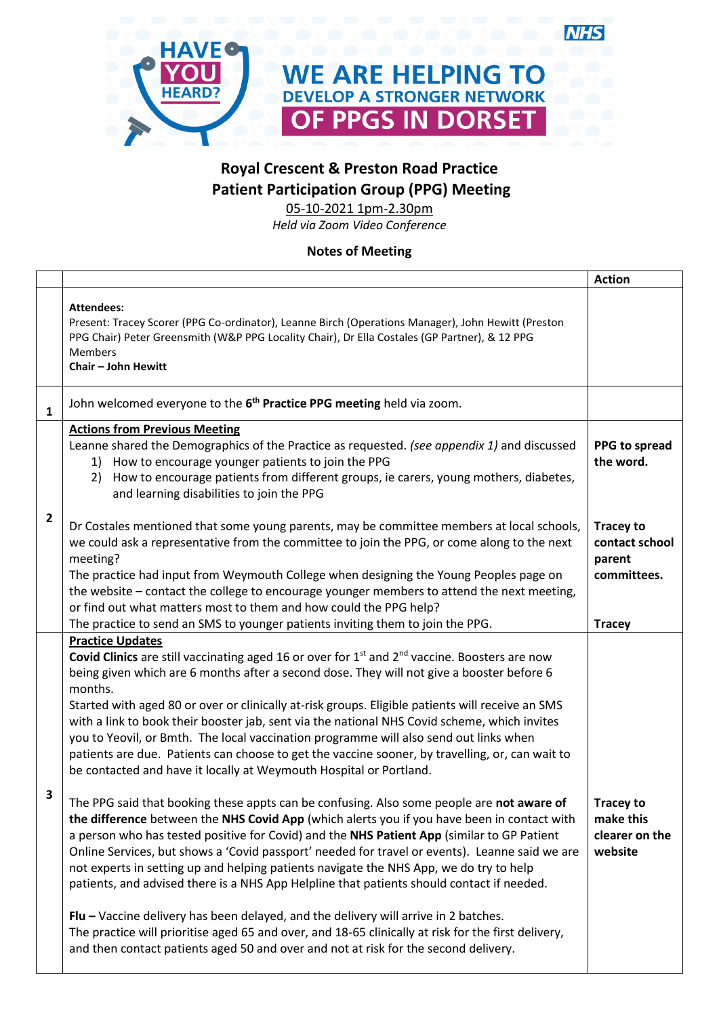

## **Royal Crescent & Preston Road Practice Patient Participation Group (PPG) Meeting**

**NHS** 

05-10-2021 1pm-2.30pm

*Held via Zoom Video Conference*

## **Notes of Meeting**

|                |                                                                                                                                                                                                                                                                                                                                                                                                                                                                                                                                                                                                                                                                                 | <b>Action</b>                                                                |
|----------------|---------------------------------------------------------------------------------------------------------------------------------------------------------------------------------------------------------------------------------------------------------------------------------------------------------------------------------------------------------------------------------------------------------------------------------------------------------------------------------------------------------------------------------------------------------------------------------------------------------------------------------------------------------------------------------|------------------------------------------------------------------------------|
|                | <b>Attendees:</b><br>Present: Tracey Scorer (PPG Co-ordinator), Leanne Birch (Operations Manager), John Hewitt (Preston<br>PPG Chair) Peter Greensmith (W&P PPG Locality Chair), Dr Ella Costales (GP Partner), & 12 PPG<br><b>Members</b><br>Chair - John Hewitt                                                                                                                                                                                                                                                                                                                                                                                                               |                                                                              |
| $\mathbf{1}$   | John welcomed everyone to the 6 <sup>th</sup> Practice PPG meeting held via zoom.                                                                                                                                                                                                                                                                                                                                                                                                                                                                                                                                                                                               |                                                                              |
|                | <b>Actions from Previous Meeting</b><br>Leanne shared the Demographics of the Practice as requested. (see appendix 1) and discussed<br>1) How to encourage younger patients to join the PPG<br>2) How to encourage patients from different groups, ie carers, young mothers, diabetes,<br>and learning disabilities to join the PPG                                                                                                                                                                                                                                                                                                                                             | PPG to spread<br>the word.                                                   |
| $\overline{2}$ | Dr Costales mentioned that some young parents, may be committee members at local schools,<br>we could ask a representative from the committee to join the PPG, or come along to the next<br>meeting?<br>The practice had input from Weymouth College when designing the Young Peoples page on<br>the website - contact the college to encourage younger members to attend the next meeting,<br>or find out what matters most to them and how could the PPG help?<br>The practice to send an SMS to younger patients inviting them to join the PPG.                                                                                                                              | <b>Tracey to</b><br>contact school<br>parent<br>committees.<br><b>Tracey</b> |
|                | <b>Practice Updates</b>                                                                                                                                                                                                                                                                                                                                                                                                                                                                                                                                                                                                                                                         |                                                                              |
|                | Covid Clinics are still vaccinating aged 16 or over for $1st$ and $2nd$ vaccine. Boosters are now<br>being given which are 6 months after a second dose. They will not give a booster before 6<br>months.<br>Started with aged 80 or over or clinically at-risk groups. Eligible patients will receive an SMS<br>with a link to book their booster jab, sent via the national NHS Covid scheme, which invites<br>you to Yeovil, or Bmth. The local vaccination programme will also send out links when<br>patients are due. Patients can choose to get the vaccine sooner, by travelling, or, can wait to<br>be contacted and have it locally at Weymouth Hospital or Portland. |                                                                              |
| 3              | The PPG said that booking these appts can be confusing. Also some people are not aware of<br>the difference between the NHS Covid App (which alerts you if you have been in contact with<br>a person who has tested positive for Covid) and the NHS Patient App (similar to GP Patient<br>Online Services, but shows a 'Covid passport' needed for travel or events). Leanne said we are<br>not experts in setting up and helping patients navigate the NHS App, we do try to help<br>patients, and advised there is a NHS App Helpline that patients should contact if needed.                                                                                                 | <b>Tracey to</b><br>make this<br>clearer on the<br>website                   |
|                | $Flu$ – Vaccine delivery has been delayed, and the delivery will arrive in 2 batches.<br>The practice will prioritise aged 65 and over, and 18-65 clinically at risk for the first delivery,<br>and then contact patients aged 50 and over and not at risk for the second delivery.                                                                                                                                                                                                                                                                                                                                                                                             |                                                                              |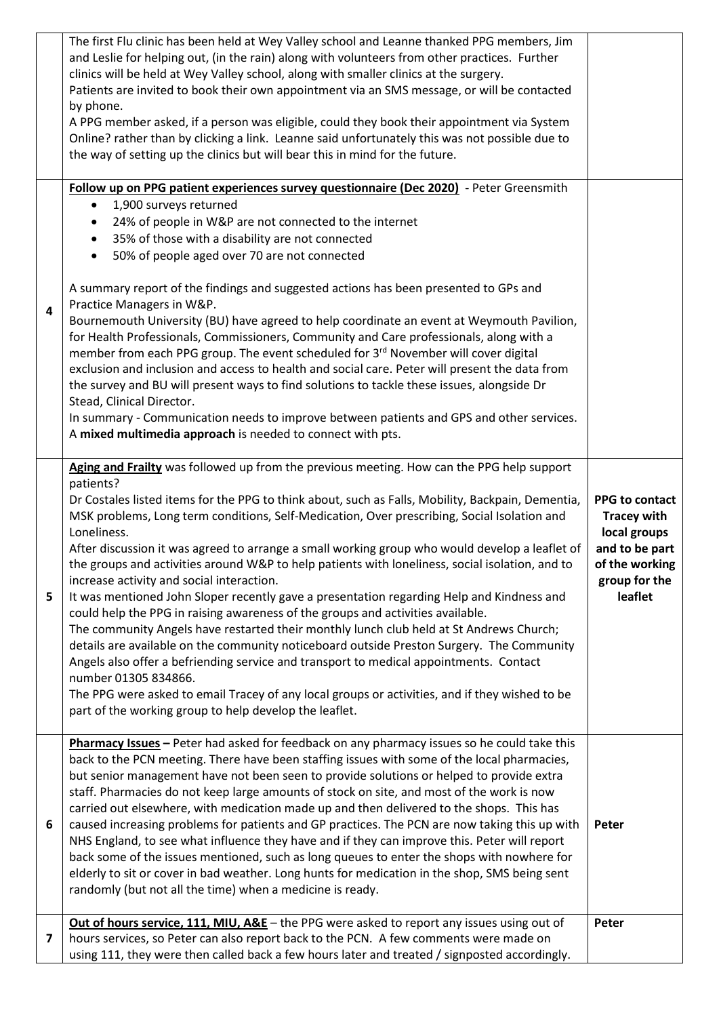|   | The first Flu clinic has been held at Wey Valley school and Leanne thanked PPG members, Jim<br>and Leslie for helping out, (in the rain) along with volunteers from other practices. Further<br>clinics will be held at Wey Valley school, along with smaller clinics at the surgery.<br>Patients are invited to book their own appointment via an SMS message, or will be contacted<br>by phone.<br>A PPG member asked, if a person was eligible, could they book their appointment via System<br>Online? rather than by clicking a link. Leanne said unfortunately this was not possible due to<br>the way of setting up the clinics but will bear this in mind for the future.                                                                                                                                                                                                                                                                                                                                                                                                                                                                                                                                                 |                                                                                                                      |
|---|-----------------------------------------------------------------------------------------------------------------------------------------------------------------------------------------------------------------------------------------------------------------------------------------------------------------------------------------------------------------------------------------------------------------------------------------------------------------------------------------------------------------------------------------------------------------------------------------------------------------------------------------------------------------------------------------------------------------------------------------------------------------------------------------------------------------------------------------------------------------------------------------------------------------------------------------------------------------------------------------------------------------------------------------------------------------------------------------------------------------------------------------------------------------------------------------------------------------------------------|----------------------------------------------------------------------------------------------------------------------|
| 4 | Follow up on PPG patient experiences survey questionnaire (Dec 2020) - Peter Greensmith<br>1,900 surveys returned<br>$\bullet$<br>24% of people in W&P are not connected to the internet<br>$\bullet$<br>35% of those with a disability are not connected<br>$\bullet$<br>50% of people aged over 70 are not connected<br>$\bullet$<br>A summary report of the findings and suggested actions has been presented to GPs and<br>Practice Managers in W&P.<br>Bournemouth University (BU) have agreed to help coordinate an event at Weymouth Pavilion,<br>for Health Professionals, Commissioners, Community and Care professionals, along with a<br>member from each PPG group. The event scheduled for 3rd November will cover digital<br>exclusion and inclusion and access to health and social care. Peter will present the data from<br>the survey and BU will present ways to find solutions to tackle these issues, alongside Dr<br>Stead, Clinical Director.<br>In summary - Communication needs to improve between patients and GPS and other services.<br>A mixed multimedia approach is needed to connect with pts.                                                                                                    |                                                                                                                      |
| 5 | Aging and Frailty was followed up from the previous meeting. How can the PPG help support<br>patients?<br>Dr Costales listed items for the PPG to think about, such as Falls, Mobility, Backpain, Dementia,<br>MSK problems, Long term conditions, Self-Medication, Over prescribing, Social Isolation and<br>Loneliness.<br>After discussion it was agreed to arrange a small working group who would develop a leaflet of<br>the groups and activities around W&P to help patients with loneliness, social isolation, and to<br>increase activity and social interaction.<br>It was mentioned John Sloper recently gave a presentation regarding Help and Kindness and<br>could help the PPG in raising awareness of the groups and activities available.<br>The community Angels have restarted their monthly lunch club held at St Andrews Church;<br>details are available on the community noticeboard outside Preston Surgery. The Community<br>Angels also offer a befriending service and transport to medical appointments. Contact<br>number 01305 834866.<br>The PPG were asked to email Tracey of any local groups or activities, and if they wished to be<br>part of the working group to help develop the leaflet. | PPG to contact<br><b>Tracey with</b><br>local groups<br>and to be part<br>of the working<br>group for the<br>leaflet |
| 6 | Pharmacy Issues - Peter had asked for feedback on any pharmacy issues so he could take this<br>back to the PCN meeting. There have been staffing issues with some of the local pharmacies,<br>but senior management have not been seen to provide solutions or helped to provide extra<br>staff. Pharmacies do not keep large amounts of stock on site, and most of the work is now<br>carried out elsewhere, with medication made up and then delivered to the shops. This has<br>caused increasing problems for patients and GP practices. The PCN are now taking this up with<br>NHS England, to see what influence they have and if they can improve this. Peter will report<br>back some of the issues mentioned, such as long queues to enter the shops with nowhere for<br>elderly to sit or cover in bad weather. Long hunts for medication in the shop, SMS being sent<br>randomly (but not all the time) when a medicine is ready.                                                                                                                                                                                                                                                                                      | Peter                                                                                                                |
| 7 | Out of hours service, 111, MIU, A&E - the PPG were asked to report any issues using out of<br>hours services, so Peter can also report back to the PCN. A few comments were made on<br>using 111, they were then called back a few hours later and treated / signposted accordingly.                                                                                                                                                                                                                                                                                                                                                                                                                                                                                                                                                                                                                                                                                                                                                                                                                                                                                                                                              | Peter                                                                                                                |